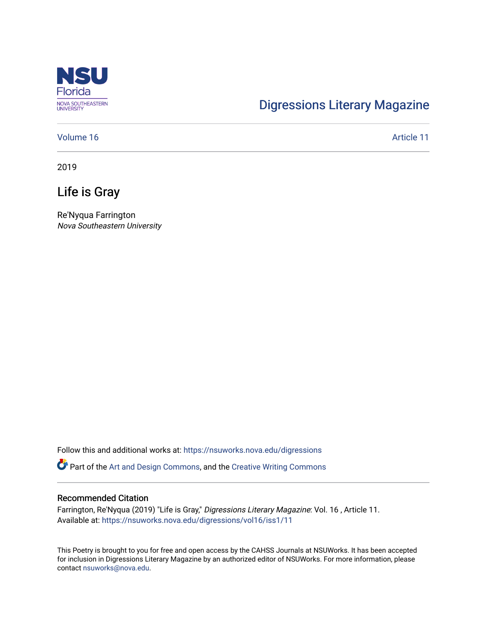

# [Digressions Literary Magazine](https://nsuworks.nova.edu/digressions)

#### [Volume 16](https://nsuworks.nova.edu/digressions/vol16) Article 11

2019

## Life is Gray

Re'Nyqua Farrington Nova Southeastern University

Follow this and additional works at: [https://nsuworks.nova.edu/digressions](https://nsuworks.nova.edu/digressions?utm_source=nsuworks.nova.edu%2Fdigressions%2Fvol16%2Fiss1%2F11&utm_medium=PDF&utm_campaign=PDFCoverPages) 

Part of the [Art and Design Commons](http://network.bepress.com/hgg/discipline/1049?utm_source=nsuworks.nova.edu%2Fdigressions%2Fvol16%2Fiss1%2F11&utm_medium=PDF&utm_campaign=PDFCoverPages), and the [Creative Writing Commons](http://network.bepress.com/hgg/discipline/574?utm_source=nsuworks.nova.edu%2Fdigressions%2Fvol16%2Fiss1%2F11&utm_medium=PDF&utm_campaign=PDFCoverPages)

#### Recommended Citation

Farrington, Re'Nyqua (2019) "Life is Gray," Digressions Literary Magazine: Vol. 16 , Article 11. Available at: [https://nsuworks.nova.edu/digressions/vol16/iss1/11](https://nsuworks.nova.edu/digressions/vol16/iss1/11?utm_source=nsuworks.nova.edu%2Fdigressions%2Fvol16%2Fiss1%2F11&utm_medium=PDF&utm_campaign=PDFCoverPages)

This Poetry is brought to you for free and open access by the CAHSS Journals at NSUWorks. It has been accepted for inclusion in Digressions Literary Magazine by an authorized editor of NSUWorks. For more information, please contact [nsuworks@nova.edu.](mailto:nsuworks@nova.edu)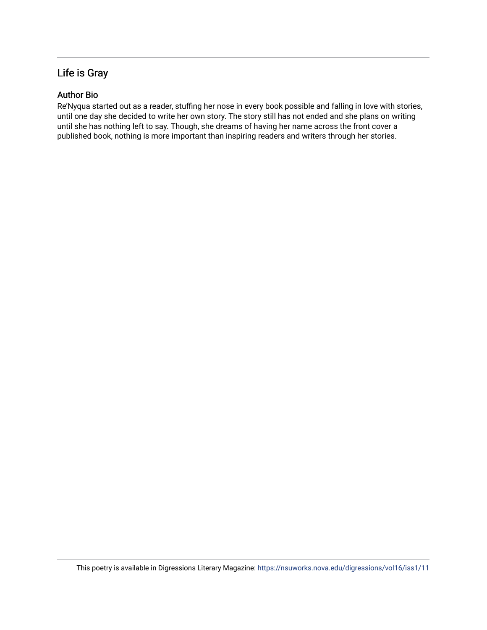### Life is Gray

### Author Bio

Re'Nyqua started out as a reader, stuffing her nose in every book possible and falling in love with stories, until one day she decided to write her own story. The story still has not ended and she plans on writing until she has nothing left to say. Though, she dreams of having her name across the front cover a published book, nothing is more important than inspiring readers and writers through her stories.